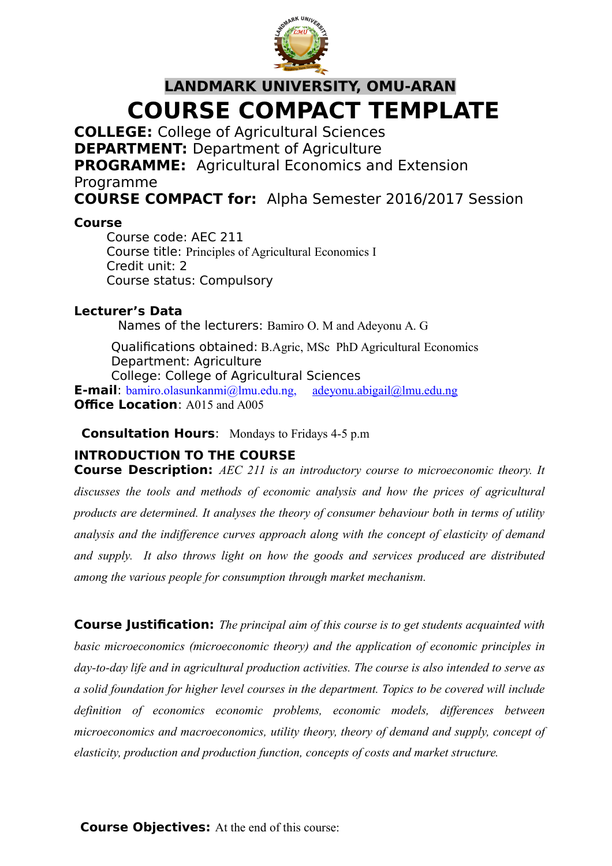

# **LANDMARK UNIVERSITY, OMU-ARAN COURSE COMPACT TEMPLATE**

**COLLEGE:** College of Agricultural Sciences

**DEPARTMENT:** Department of Agriculture

**PROGRAMME:** Agricultural Economics and Extension Programme

**COURSE COMPACT for:** Alpha Semester 2016/2017 Session

# **Course**

Course code: AEC 211 Course title: Principles of Agricultural Economics I Credit unit: 2 Course status: Compulsory

# **Lecturer's Data**

Names of the lecturers: Bamiro O. M and Adeyonu A. G

Qualifications obtained: B.Agric, MSc PhD Agricultural Economics Department: Agriculture College: College of Agricultural Sciences

**E-mail**: bamiro.olasunkanmi@lmu.edu.ng, [adeyonu.abigail@lmu.edu.ng](mailto:adeyonu.abigail@lmu.edu.ng) **Office Location**: A015 and A005

**Consultation Hours**: Mondays to Fridays 4-5 p.m

# **INTRODUCTION TO THE COURSE**

**Course Description:** *AEC 211 is an introductory course to microeconomic theory. It discusses the tools and methods of economic analysis and how the prices of agricultural products are determined. It analyses the theory of consumer behaviour both in terms of utility analysis and the indifference curves approach along with the concept of elasticity of demand and supply. It also throws light on how the goods and services produced are distributed among the various people for consumption through market mechanism.*

**Course Justification:** *The principal aim of this course is to get students acquainted with basic microeconomics (microeconomic theory) and the application of economic principles in day-to-day life and in agricultural production activities. The course is also intended to serve as a solid foundation for higher level courses in the department. Topics to be covered will include definition of economics economic problems, economic models, differences between microeconomics and macroeconomics, utility theory, theory of demand and supply, concept of elasticity, production and production function, concepts of costs and market structure.*

**Course Objectives:** At the end of this course: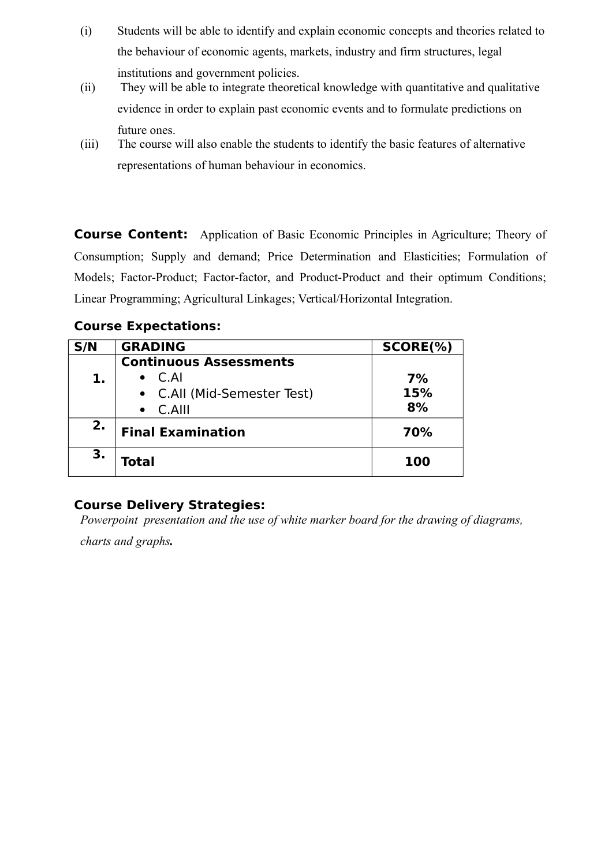- (i) Students will be able to identify and explain economic concepts and theories related to the behaviour of economic agents, markets, industry and firm structures, legal institutions and government policies.
- (ii) They will be able to integrate theoretical knowledge with quantitative and qualitative evidence in order to explain past economic events and to formulate predictions on future ones.
- (iii) The course will also enable the students to identify the basic features of alternative representations of human behaviour in economics.

**Course Content:** Application of Basic Economic Principles in Agriculture; Theory of Consumption; Supply and demand; Price Determination and Elasticities; Formulation of Models; Factor-Product; Factor-factor, and Product-Product and their optimum Conditions; Linear Programming; Agricultural Linkages; Vertical/Horizontal Integration.

# **Course Expectations:**

| S/N | <b>GRADING</b>                        | SCORE(%)  |
|-----|---------------------------------------|-----------|
| 1.  | <b>Continuous Assessments</b><br>C.AI | 7%        |
|     | • C.All (Mid-Semester Test)<br>C.AIII | 15%<br>8% |
| 2.  | <b>Final Examination</b>              | 70%       |
| 3.  | Total                                 | 100       |

# **Course Delivery Strategies:**

*Powerpoint presentation and the use of white marker board for the drawing of diagrams,* 

*charts and graphs.*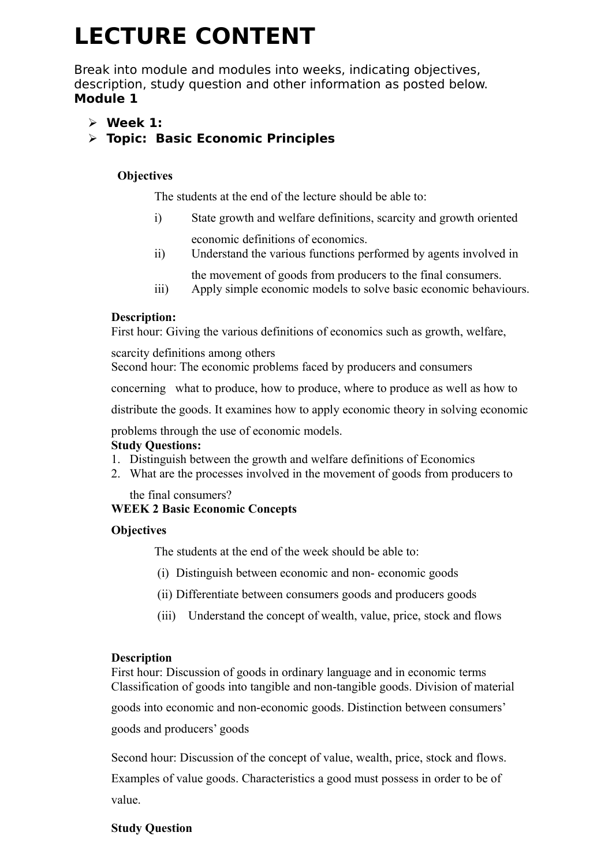# **LECTURE CONTENT**

Break into module and modules into weeks, indicating objectives, description, study question and other information as posted below. **Module 1**

**Week 1:** 

# **Topic: Basic Economic Principles**

# **Objectives**

The students at the end of the lecture should be able to:

- i) State growth and welfare definitions, scarcity and growth oriented economic definitions of economics.
- ii) Understand the various functions performed by agents involved in
- the movement of goods from producers to the final consumers. iii) Apply simple economic models to solve basic economic behaviours.

# **Description:**

First hour: Giving the various definitions of economics such as growth, welfare,

scarcity definitions among others

Second hour: The economic problems faced by producers and consumers

concerning what to produce, how to produce, where to produce as well as how to

distribute the goods. It examines how to apply economic theory in solving economic

problems through the use of economic models.

# **Study Questions:**

- 1. Distinguish between the growth and welfare definitions of Economics
- 2. What are the processes involved in the movement of goods from producers to

the final consumers? **WEEK 2 Basic Economic Concepts**

# **Objectives**

The students at the end of the week should be able to:

- (i) Distinguish between economic and non- economic goods
- (ii) Differentiate between consumers goods and producers goods
- (iii) Understand the concept of wealth, value, price, stock and flows

#### **Description**

First hour: Discussion of goods in ordinary language and in economic terms Classification of goods into tangible and non-tangible goods. Division of material

goods into economic and non-economic goods. Distinction between consumers'

goods and producers' goods

Second hour: Discussion of the concept of value, wealth, price, stock and flows.

Examples of value goods. Characteristics a good must possess in order to be of value.

#### **Study Question**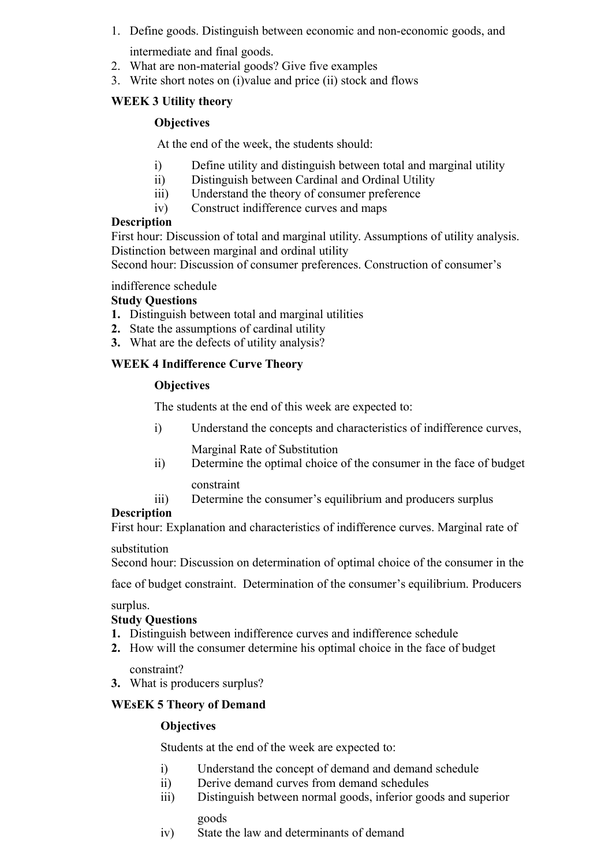1. Define goods. Distinguish between economic and non-economic goods, and

intermediate and final goods.

- 2. What are non-material goods? Give five examples
- 3. Write short notes on (i)value and price (ii) stock and flows

# **WEEK 3 Utility theory**

## **Objectives**

At the end of the week, the students should:

- i) Define utility and distinguish between total and marginal utility
- ii) Distinguish between Cardinal and Ordinal Utility
- iii) Understand the theory of consumer preference
- iv) Construct indifference curves and maps

# **Description**

First hour: Discussion of total and marginal utility. Assumptions of utility analysis. Distinction between marginal and ordinal utility

Second hour: Discussion of consumer preferences. Construction of consumer's

indifference schedule

#### **Study Questions**

- **1.** Distinguish between total and marginal utilities
- **2.** State the assumptions of cardinal utility
- **3.** What are the defects of utility analysis?

# **WEEK 4 Indifference Curve Theory**

# **Objectives**

The students at the end of this week are expected to:

i) Understand the concepts and characteristics of indifference curves,

Marginal Rate of Substitution

- ii) Determine the optimal choice of the consumer in the face of budget constraint
	-
- iii) Determine the consumer's equilibrium and producers surplus

# **Description**

First hour: Explanation and characteristics of indifference curves. Marginal rate of

#### substitution

Second hour: Discussion on determination of optimal choice of the consumer in the

face of budget constraint. Determination of the consumer's equilibrium. Producers

surplus.

# **Study Questions**

- **1.** Distinguish between indifference curves and indifference schedule
- **2.** How will the consumer determine his optimal choice in the face of budget

constraint?

**3.** What is producers surplus?

# **WEsEK 5 Theory of Demand**

# **Objectives**

Students at the end of the week are expected to:

- i) Understand the concept of demand and demand schedule
- ii) Derive demand curves from demand schedules
- iii) Distinguish between normal goods, inferior goods and superior goods
- iv) State the law and determinants of demand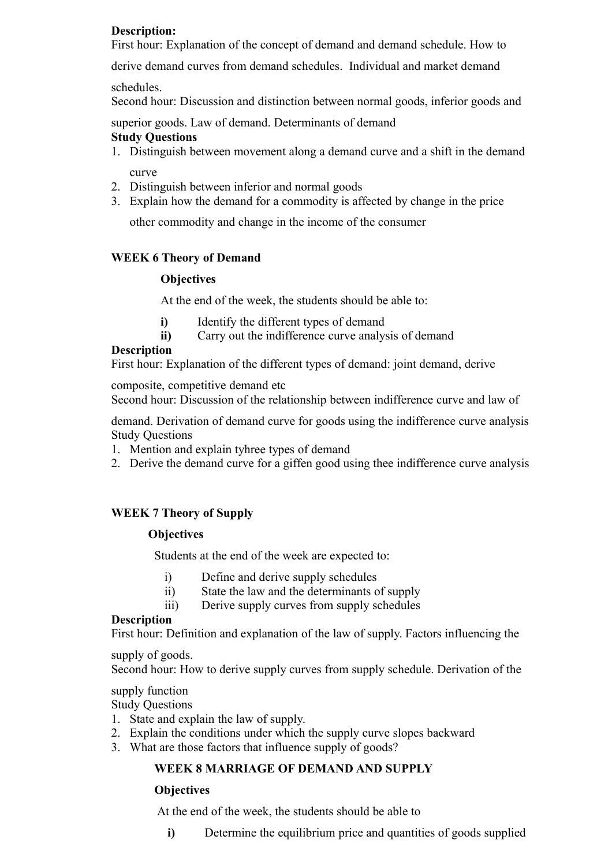# **Description:**

First hour: Explanation of the concept of demand and demand schedule. How to

derive demand curves from demand schedules. Individual and market demand

schedules.

Second hour: Discussion and distinction between normal goods, inferior goods and

superior goods. Law of demand. Determinants of demand

# **Study Questions**

- 1. Distinguish between movement along a demand curve and a shift in the demand curve
- 2. Distinguish between inferior and normal goods
- 3. Explain how the demand for a commodity is affected by change in the price

other commodity and change in the income of the consumer

# **WEEK 6 Theory of Demand**

# **Objectives**

At the end of the week, the students should be able to:

- **i)** Identify the different types of demand
- **ii)** Carry out the indifference curve analysis of demand

#### **Description**

First hour: Explanation of the different types of demand: joint demand, derive

composite, competitive demand etc

Second hour: Discussion of the relationship between indifference curve and law of

demand. Derivation of demand curve for goods using the indifference curve analysis Study Questions

- 1. Mention and explain tyhree types of demand
- 2. Derive the demand curve for a giffen good using thee indifference curve analysis

# **WEEK 7 Theory of Supply**

#### **Objectives**

Students at the end of the week are expected to:

- i) Define and derive supply schedules
- ii) State the law and the determinants of supply
- iii) Derive supply curves from supply schedules

#### **Description**

First hour: Definition and explanation of the law of supply. Factors influencing the

#### supply of goods.

Second hour: How to derive supply curves from supply schedule. Derivation of the

#### supply function

Study Questions

- 1. State and explain the law of supply.
- 2. Explain the conditions under which the supply curve slopes backward
- 3. What are those factors that influence supply of goods?

# **WEEK 8 MARRIAGE OF DEMAND AND SUPPLY**

#### **Objectives**

At the end of the week, the students should be able to

**i)** Determine the equilibrium price and quantities of goods supplied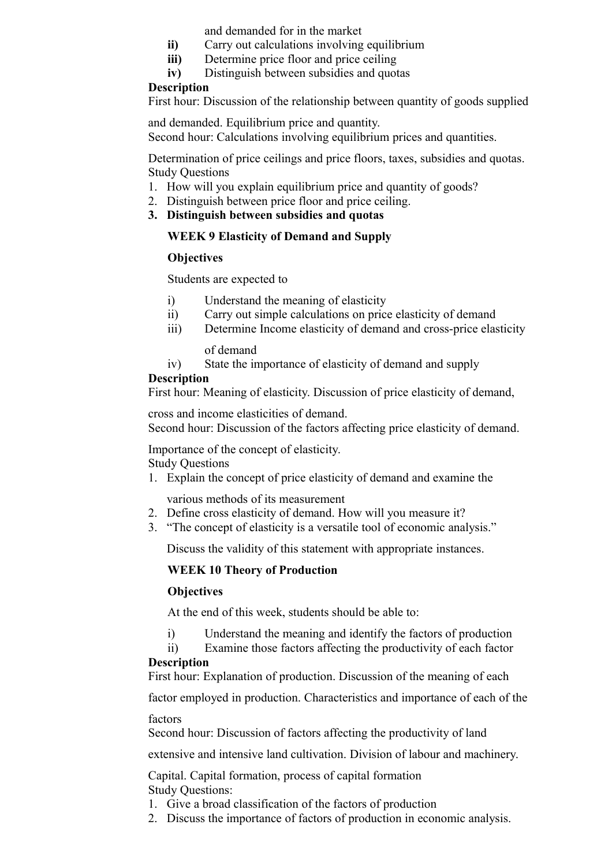and demanded for in the market

- **ii**) Carry out calculations involving equilibrium
- **iii)** Determine price floor and price ceiling
- **iv)** Distinguish between subsidies and quotas

#### **Description**

First hour: Discussion of the relationship between quantity of goods supplied

and demanded. Equilibrium price and quantity. Second hour: Calculations involving equilibrium prices and quantities.

Determination of price ceilings and price floors, taxes, subsidies and quotas. Study Questions

- 1. How will you explain equilibrium price and quantity of goods?
- 2. Distinguish between price floor and price ceiling.
- **3. Distinguish between subsidies and quotas**

#### **WEEK 9 Elasticity of Demand and Supply**

#### **Objectives**

Students are expected to

- i) Understand the meaning of elasticity
- ii) Carry out simple calculations on price elasticity of demand
- iii) Determine Income elasticity of demand and cross-price elasticity

of demand

iv) State the importance of elasticity of demand and supply

#### **Description**

First hour: Meaning of elasticity. Discussion of price elasticity of demand,

cross and income elasticities of demand.

Second hour: Discussion of the factors affecting price elasticity of demand.

Importance of the concept of elasticity. Study Questions

1. Explain the concept of price elasticity of demand and examine the

various methods of its measurement

- 2. Define cross elasticity of demand. How will you measure it?
- 3. "The concept of elasticity is a versatile tool of economic analysis."

Discuss the validity of this statement with appropriate instances.

#### **WEEK 10 Theory of Production**

#### **Objectives**

At the end of this week, students should be able to:

- i) Understand the meaning and identify the factors of production
- ii) Examine those factors affecting the productivity of each factor

#### **Description**

First hour: Explanation of production. Discussion of the meaning of each

factor employed in production. Characteristics and importance of each of the

factors

Second hour: Discussion of factors affecting the productivity of land

extensive and intensive land cultivation. Division of labour and machinery.

Capital. Capital formation, process of capital formation Study Questions:

- 1. Give a broad classification of the factors of production
- 2. Discuss the importance of factors of production in economic analysis.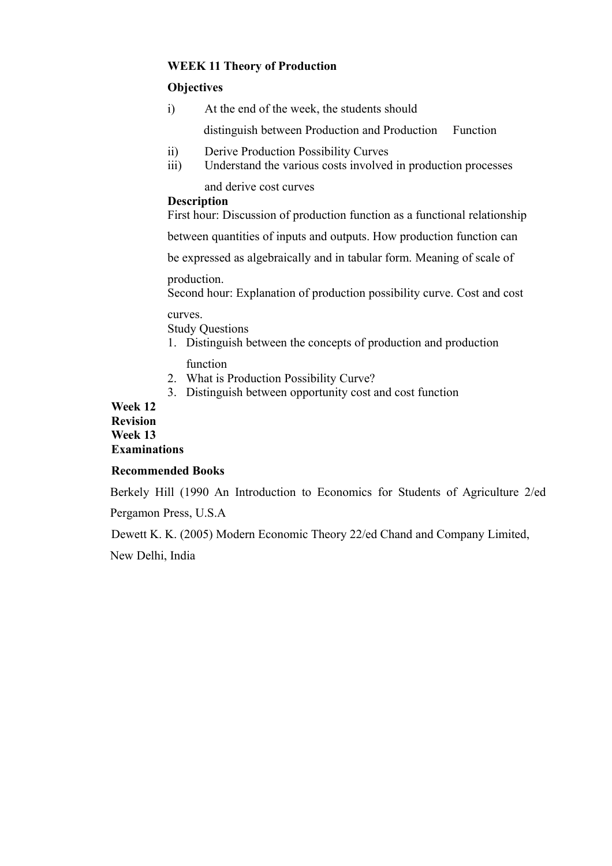#### **WEEK 11 Theory of Production**

#### **Objectives**

i) At the end of the week, the students should

distinguish between Production and Production Function

- ii) Derive Production Possibility Curves
- iii) Understand the various costs involved in production processes and derive cost curves

#### **Description**

First hour: Discussion of production function as a functional relationship

between quantities of inputs and outputs. How production function can

be expressed as algebraically and in tabular form. Meaning of scale of

production.

Second hour: Explanation of production possibility curve. Cost and cost

#### curves.

Study Questions

- 1. Distinguish between the concepts of production and production function
- 2. What is Production Possibility Curve?
- 3. Distinguish between opportunity cost and cost function

#### **Week 12 Revision Week 13 Examinations**

#### **Recommended Books**

Berkely Hill (1990 An Introduction to Economics for Students of Agriculture 2/ed

Pergamon Press, U.S.A

Dewett K. K. (2005) Modern Economic Theory 22/ed Chand and Company Limited,

New Delhi, India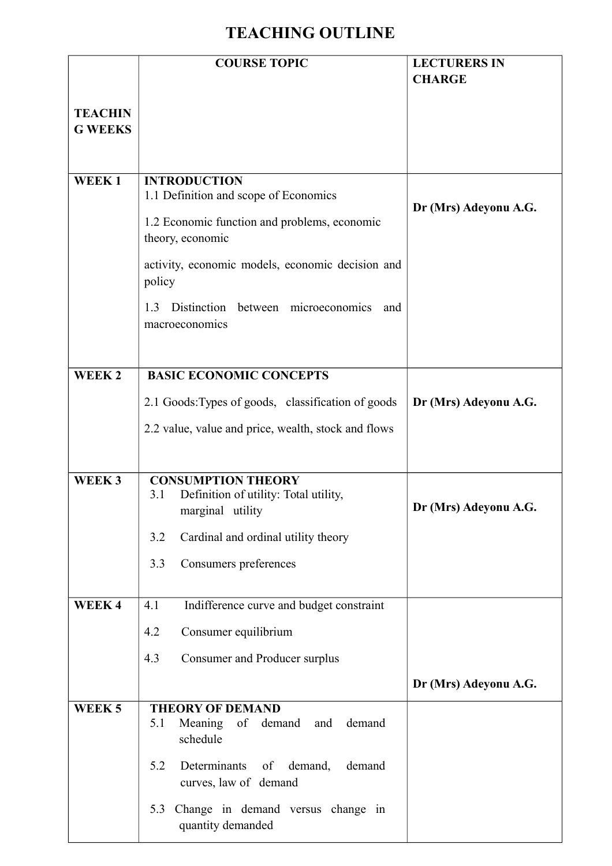# **TEACHING OUTLINE**

|                                  | <b>COURSE TOPIC</b>                                                                                                                                                                                                                                                     | <b>LECTURERS IN</b><br><b>CHARGE</b> |
|----------------------------------|-------------------------------------------------------------------------------------------------------------------------------------------------------------------------------------------------------------------------------------------------------------------------|--------------------------------------|
| <b>TEACHIN</b><br><b>G WEEKS</b> |                                                                                                                                                                                                                                                                         |                                      |
| WEEK1                            | <b>INTRODUCTION</b><br>1.1 Definition and scope of Economics<br>1.2 Economic function and problems, economic<br>theory, economic<br>activity, economic models, economic decision and<br>policy<br>Distinction<br>between microeconomics<br>1.3<br>and<br>macroeconomics | Dr (Mrs) Adeyonu A.G.                |
| WEEK <sub>2</sub>                | <b>BASIC ECONOMIC CONCEPTS</b><br>2.1 Goods: Types of goods, classification of goods<br>2.2 value, value and price, wealth, stock and flows                                                                                                                             | Dr (Mrs) Adeyonu A.G.                |
| WEEK <sub>3</sub>                | <b>CONSUMPTION THEORY</b><br>Definition of utility: Total utility,<br>3.1<br>marginal utility<br>3.2<br>Cardinal and ordinal utility theory<br>Consumers preferences<br>3.3                                                                                             | Dr (Mrs) Adeyonu A.G.                |
| WEEK4                            | Indifference curve and budget constraint<br>4.1<br>Consumer equilibrium<br>4.2<br>Consumer and Producer surplus<br>4.3                                                                                                                                                  | Dr (Mrs) Adeyonu A.G.                |
| WEEK <sub>5</sub>                | <b>THEORY OF DEMAND</b><br>Meaning of demand<br>5.1<br>demand<br>and<br>schedule<br>5.2<br>Determinants<br>demand,<br>demand<br>of<br>curves, law of demand<br>Change in demand versus change in<br>5.3<br>quantity demanded                                            |                                      |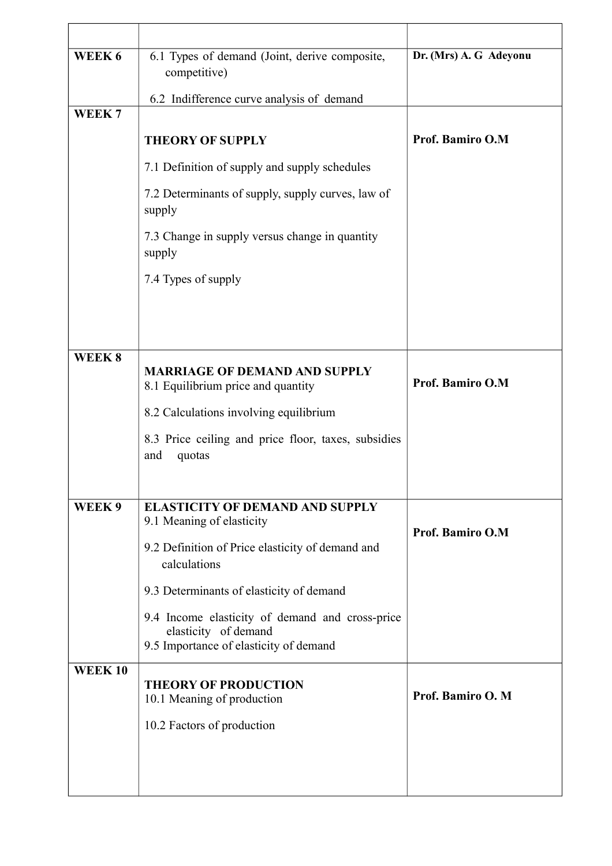| WEEK 6            | 6.1 Types of demand (Joint, derive composite,<br>competitive)                                                     | Dr. (Mrs) A. G Adeyonu |
|-------------------|-------------------------------------------------------------------------------------------------------------------|------------------------|
|                   | 6.2 Indifference curve analysis of demand                                                                         |                        |
| WEEK <sub>7</sub> |                                                                                                                   |                        |
|                   | <b>THEORY OF SUPPLY</b>                                                                                           | Prof. Bamiro O.M       |
|                   | 7.1 Definition of supply and supply schedules                                                                     |                        |
|                   | 7.2 Determinants of supply, supply curves, law of<br>supply                                                       |                        |
|                   | 7.3 Change in supply versus change in quantity<br>supply                                                          |                        |
|                   | 7.4 Types of supply                                                                                               |                        |
|                   |                                                                                                                   |                        |
|                   |                                                                                                                   |                        |
| WEEK8             | <b>MARRIAGE OF DEMAND AND SUPPLY</b><br>8.1 Equilibrium price and quantity                                        | Prof. Bamiro O.M       |
|                   | 8.2 Calculations involving equilibrium                                                                            |                        |
|                   | 8.3 Price ceiling and price floor, taxes, subsidies<br>and<br>quotas                                              |                        |
| WEEK 9            | <b>ELASTICITY OF DEMAND AND SUPPLY</b><br>9.1 Meaning of elasticity                                               | Prof. Bamiro O.M       |
|                   | 9.2 Definition of Price elasticity of demand and<br>calculations                                                  |                        |
|                   | 9.3 Determinants of elasticity of demand                                                                          |                        |
|                   | 9.4 Income elasticity of demand and cross-price<br>elasticity of demand<br>9.5 Importance of elasticity of demand |                        |
| <b>WEEK10</b>     | <b>THEORY OF PRODUCTION</b><br>10.1 Meaning of production                                                         | Prof. Bamiro O. M      |
|                   | 10.2 Factors of production                                                                                        |                        |
|                   |                                                                                                                   |                        |
|                   |                                                                                                                   |                        |